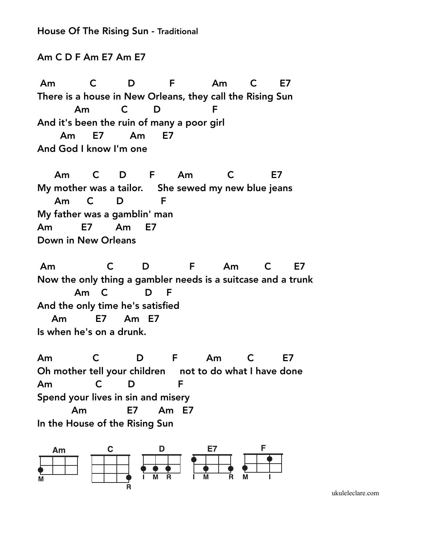House Of The Rising Sun - Traditional

Am C D F Am E7 Am E7

Am C D F Am C E7 There is a house in New Orleans, they call the Rising Sun Am C D F And it's been the ruin of many a poor girl Am E7 Am E7 And God I know I'm one

 Am C D F Am C E7 My mother was a tailor. She sewed my new blue jeans Am C D F My father was a gamblin' man Am E7 Am E7 Down in New Orleans

Am C D F Am C E7 Now the only thing a gambler needs is a suitcase and a trunk Am C D F And the only time he's satisfied Am E7 Am E7 Is when he's on a drunk.

Am C D F Am C E7 Oh mother tell your children not to do what I have done Am C D F Spend your lives in sin and misery Am E7 Am E7 In the House of the Rising Sun



[ukuleleclare.com](http://ukuleleclare.com)